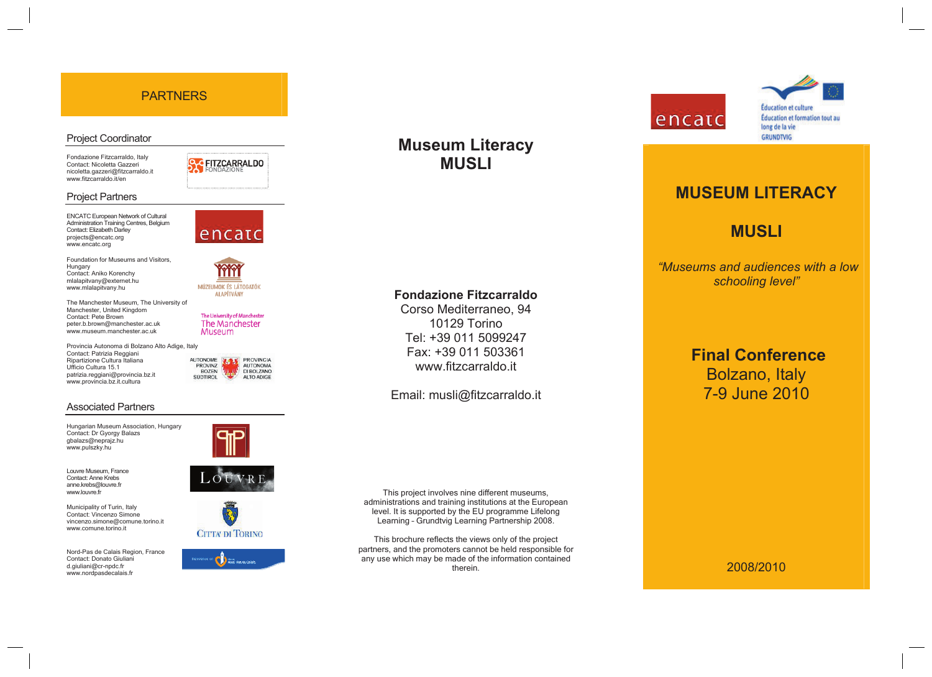## PARTNERS

#### Project Coordinator

Fondazione Fitzcarraldo, Italy Contact: Nicoletta Gazzeri nicoletta.gazzeri@fitzcarraldo.it www.fitzcarraldo.it/en

**C**FITZCARRALDO

encatc

m MÚZEUMOK ÉS LÁTOGATÓK **ALAPÍTVÁNY** 

The University of Manchester The Manchester Museum

PROVINCIA

AUTONOMA

DI BOLZANO ALTO ADIGE

**ALITONOME** 

PROVINZ

**SÜDTIROL** 

**BOZEN** 

ENCATC European Network of Cultural

Project Partners

Administration Training Centres, Belgium Contact: Elizabeth Darley projects@encatc.org www.encatc.org

Foundation for Museums and Visitors, **Hungary** Contact: Aniko Korenchy mlalapitvany@externet.hu www.mlalapitvany.hu

The Manchester Museum, The University of Manchester, United Kingdom Contact: Pete Brown peter.b.brown@manchester.ac.uk www.museum.manchester.ac.uk

Provincia Autonoma di Bolzano Alto Adige, Italy Contact: Patrizia Reggiani Ripartizione Cultura Italiana Ufficio Cultura 15.1 patrizia.reggiani@provincia.bz.it www.provincia.bz.it.cultura

#### Associated Partners

Hungarian Museum Association, Hungary Contact: Dr Gyorgy Balazs gbalazs@neprajz.hu www.pulszky.hu

Louvre Museum, France Contact: Anne Krebs anne.krebs@louvre.fr www.louvre.fr

Municipality of Turin, Italy Contact: Vincenzo Simone vincenzo.simone@comune.torino.it www.comune.torino.it

Nord-Pas de Calais Region, France Contact: Donato Giuliani d.giuliani@cr-npdc.fr www.nordpasdecalais.fr









# **Museum Literacy MUSLI**

### **Fondazione Fitzcarraldo**

Corso Mediterraneo, 94 10129 Torino Tel: +39 011 5099247 Fax: +39 011 503361 www.fitzcarraldo.it

## Email: musli@fitzcarraldo.it

This project involves nine different museums, administrations and training institutions at the European level. It is supported by the EU programme Lifelong Learning – Grundtvig Learning Partnership 2008.

This brochure reflects the views only of the project partners, and the promoters cannot be held responsible for any use which may be made of the information contained therein.



# **Éducation et culture** Éducation et formation tout au long de la vie **GRUNDTVIG**

# **MUSEUM LITERACY**

# **MUSLI**

 *"Museums and audiences with a low schooling level"* 

> **Final Conference**  Bolzano, Italy 7-9 June 2010

#### 2008/2010